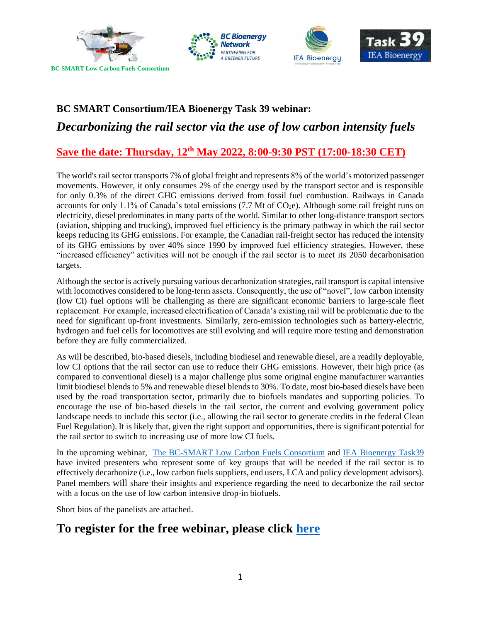





# **BC SMART Consortium/IEA Bioenergy Task 39 webinar:**  *Decarbonizing the rail sector via the use of low carbon intensity fuels*

### **Save the date: Thursday, 12th May 2022, 8:00-9:30 PST (17:00-18:30 CET)**

The world's rail sector transports 7% of global freight and represents 8% of the world's motorized passenger movements. However, it only consumes 2% of the energy used by the transport sector and is responsible for only 0.3% of the direct GHG emissions derived from fossil fuel combustion. Railways in Canada accounts for only 1.1% of Canada's total emissions (7.7 Mt of  $CO<sub>2</sub>e$ ). Although some rail freight runs on electricity, diesel predominates in many parts of the world. Similar to other long-distance transport sectors (aviation, shipping and trucking), improved fuel efficiency is the primary pathway in which the rail sector keeps reducing its GHG emissions. For example, the Canadian rail-freight sector has reduced the intensity of its GHG emissions by over 40% since 1990 by improved fuel efficiency strategies. However, these "increased efficiency" activities will not be enough if the rail sector is to meet its 2050 decarbonisation targets.

Although the sector is actively pursuing various decarbonization strategies, rail transport is capital intensive with locomotives considered to be long-term assets. Consequently, the use of "novel", low carbon intensity (low CI) fuel options will be challenging as there are significant economic barriers to large-scale fleet replacement. For example, increased electrification of Canada's existing rail will be problematic due to the need for significant up-front investments. Similarly, zero-emission technologies such as battery-electric, hydrogen and fuel cells for locomotives are still evolving and will require more testing and demonstration before they are fully commercialized.

As will be described, bio-based diesels, including biodiesel and renewable diesel, are a readily deployable, low CI options that the rail sector can use to reduce their GHG emissions. However, their high price (as compared to conventional diesel) is a major challenge plus some original engine manufacturer warranties limit biodiesel blends to 5% and renewable diesel blends to 30%. To date, most bio-based diesels have been used by the road transportation sector, primarily due to biofuels mandates and supporting policies. To encourage the use of bio-based diesels in the rail sector, the current and evolving government policy landscape needs to include this sector (i.e., allowing the rail sector to generate credits in the federal Clean Fuel Regulation). It is likely that, given the right support and opportunities, there is significant potential for the rail sector to switch to increasing use of more low CI fuels.

In the upcoming webinar, [The BC-SMART Low Carbon Fuels Consortium](https://www.bc-smart.ca/) and [IEA Bioenergy Task39](https://task39.ieabioenergy.com/) have invited presenters who represent some of key groups that will be needed if the rail sector is to effectively decarbonize (i.e., low carbon fuels suppliers, end users, LCA and policy development advisors). Panel members will share their insights and experience regarding the need to decarbonize the rail sector with a focus on the use of low carbon intensive drop-in biofuels.

Short bios of the panelists are attached.

## **To register for the free webinar, please click [here](https://ubc.zoom.us/meeting/register/u5cqceuvqTsrHN2URxjKXOpAbpEJhPucHAzg)**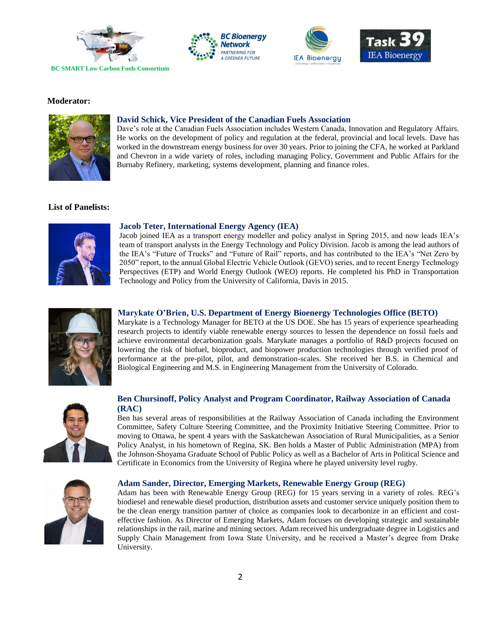







#### **Moderator:**



#### **David Schick, Vice President of the Canadian Fuels Association**

Dave's role at the Canadian Fuels Association includes Western Canada, Innovation and Regulatory Affairs. He works on the development of policy and regulation at the federal, provincial and local levels. Dave has worked in the downstream energy business for over 30 years. Prior to joining the CFA, he worked at Parkland and Chevron in a wide variety of roles, including managing Policy, Government and Public Affairs for the Burnaby Refinery, marketing, systems development, planning and finance roles.

#### **List of Panelists:**



#### **Jacob Teter, International Energy Agency (IEA)**

Jacob joined IEA as a transport energy modeller and policy analyst in Spring 2015, and now leads IEA's team of transport analysts in the Energy Technology and Policy Division. Jacob is among the lead authors of the IEA's "Future of Trucks" and "Future of Rail" reports, and has contributed to the IEA's "Net Zero by 2050" report, to the annual Global Electric Vehicle Outlook (GEVO) series, and to recent Energy Technology Perspectives (ETP) and World Energy Outlook (WEO) reports. He completed his PhD in Transportation Technology and Policy from the University of California, Davis in 2015.



#### **Marykate O'Brien, U.S. Department of Energy Bioenergy Technologies Office (BETO)**

Marykate is a Technology Manager for BETO at the US DOE. She has 15 years of experience spearheading research projects to identify viable renewable energy sources to lessen the dependence on fossil fuels and achieve environmental decarbonization goals. Marykate manages a portfolio of R&D projects focused on lowering the risk of biofuel, bioproduct, and biopower production technologies through verified proof of performance at the pre-pilot, pilot, and demonstration-scales. She received her B.S. in Chemical and Biological Engineering and M.S. in Engineering Management from the University of Colorado.



#### **Ben Chursinoff, Policy Analyst and Program Coordinator, Railway Association of Canada (RAC)**

Ben has several areas of responsibilities at the Railway Association of Canada including the Environment Committee, Safety Culture Steering Committee, and the Proximity Initiative Steering Committee. Prior to moving to Ottawa, he spent 4 years with the Saskatchewan Association of Rural Municipalities, as a Senior Policy Analyst, in his hometown of Regina, SK. Ben holds a Master of Public Administration (MPA) from the Johnson-Shoyama Graduate School of Public Policy as well as a Bachelor of Arts in Political Science and Certificate in Economics from the University of Regina where he played university level rugby.



Adam has been with Renewable Energy Group (REG) for 15 years serving in a variety of roles. REG's biodiesel and renewable diesel production, distribution assets and customer service uniquely position them to be the clean energy transition partner of choice as companies look to decarbonize in an efficient and costeffective fashion. As Director of Emerging Markets, Adam focuses on developing strategic and sustainable relationships in the rail, marine and mining sectors. Adam received his undergraduate degree in Logistics and Supply Chain Management from Iowa State University, and he received a Master's degree from Drake University.